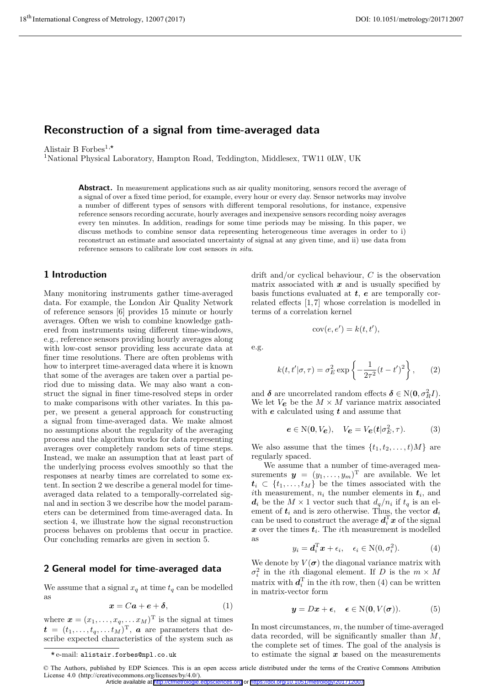# **Reconstruction of a signal from time-averaged data**

Alistair B Forbes<sup>1,\*</sup>

<sup>1</sup>National Physical Laboratory, Hampton Road, Teddington, Middlesex, TW11 0LW, UK

Abstract. In measurement applications such as air quality monitoring, sensors record the average of a signal of over a fixed time period, for example, every hour or every day. Sensor networks may involve a number of different types of sensors with different temporal resolutions, for instance, expensive reference sensors recording accurate, hourly averages and inexpensive sensors recording noisy averages every ten minutes. In addition, readings for some time periods may be missing. In this paper, we discuss methods to combine sensor data representing heterogeneous time averages in order to i) reconstruct an estimate and associated uncertainty of signal at any given time, and ii) use data from reference sensors to calibrate low cost sensors in situ.

# **1 Introduction**

Many monitoring instruments gather time-averaged data. For example, the London Air Quality Network of reference sensors [6] provides 15 minute or hourly averages. Often we wish to combine knowledge gathered from instruments using different time-windows, e.g., reference sensors providing hourly averages along with low-cost sensor providing less accurate data at finer time resolutions. There are often problems with how to interpret time-averaged data where it is known that some of the averages are taken over a partial period due to missing data. We may also want a construct the signal in finer time-resolved steps in order to make comparisons with other variates. In this paper, we present a general approach for constructing a signal from time-averaged data. We make almost no assumptions about the regularity of the averaging process and the algorithm works for data representing averages over completely random sets of time steps. Instead, we make an assumption that at least part of the underlying process evolves smoothly so that the responses at nearby times are correlated to some extent. In section 2 we describe a general model for timeaveraged data related to a temporally-correlated signal and in section 3 we describe how the model parameters can be determined from time-averaged data. In section 4, we illustrate how the signal reconstruction process behaves on problems that occur in practice. Our concluding remarks are given in section 5.

### **2 General model for time-averaged data**

We assume that a signal  $x_q$  at time  $t_q$  can be modelled as

$$
x = Ca + e + \delta, \tag{1}
$$

where  $\boldsymbol{x} = (x_1, \ldots, x_q, \ldots, x_M)$ <sup>T</sup> is the signal at times  $t = (t_1, \ldots, t_q, \ldots t_M)^{\mathrm{T}}$ , *a* are parameters that describe expected characteristics of the system such as drift and/or cyclical behaviour,  $C$  is the observation matrix associated with *x* and is usually specified by basis functions evaluated at *t*, *e* are temporally correlated effects [1, 7] whose correlation is modelled in terms of a correlation kernel

$$
cov(e, e') = k(t, t'),
$$

e.g.

$$
k(t, t'|\sigma, \tau) = \sigma_E^2 \exp\left\{-\frac{1}{2\tau^2}(t - t')^2\right\},\qquad(2)
$$

and  $\delta$  are uncorrelated random effects  $\delta \in \mathcal{N}(\mathbf{0}, \sigma_R^2 I)$ . We let  $V_{\mathcal{E}}$  be the  $M \times M$  variance matrix associated with *e* calculated using *t* and assume that

$$
e \in \mathcal{N}(0, V_e), \quad V_e = V_e(t|\sigma_E^2, \tau). \tag{3}
$$

We also assume that the times  $\{t_1, t_2, \ldots, t\}$  are regularly spaced.

We assume that a number of time-averaged measurements  $y = (y_1, \ldots, y_m)^T$  are available. We let  $t_i \,\subset\, \{t_1,\ldots,t_M\}$  be the times associated with the ith measurement,  $n_i$  the number elements in  $t_i$ , and  $d_i$  be the  $M \times 1$  vector such that  $d_q/n_i$  if  $t_q$  is an element of  $t_i$  and is zero otherwise. Thus, the vector  $d_i$ can be used to construct the average  $d_i^{\mathrm{T}} x$  of the signal  $x$  over the times  $t_i$ . The *i*th measurement is modelled as

$$
y_i = \mathbf{d}_i^{\mathrm{T}} \mathbf{x} + \epsilon_i, \quad \epsilon_i \in \mathrm{N}(0, \sigma_i^2). \tag{4}
$$

We denote by  $V(\sigma)$  the diagonal variance matrix with  $\sigma_i^2$  in the *i*th diagonal element. If D is the  $m \times M$ matrix with  $\boldsymbol{d}_i^{\mathrm{T}}$  in the *i*<sup>th</sup> row, then (4) can be written in matrix-vector form

$$
y = Dx + \epsilon, \quad \epsilon \in N(0, V(\sigma)). \tag{5}
$$

In most circumstances,  $m$ , the number of time-averaged data recorded, will be significantly smaller than  $M$ , the complete set of times. The goal of the analysis is to estimate the signal  $x$  based on the measurements

e-mail: alistair.forbes@npl.co.uk \*

<sup>©</sup> The Authors, published by EDP Sciences. This is an open access article distributed under the terms of the Creative Commons Attribution License 4.0 (http://creativecommons.org/licenses/by/4.0/). Article available at <http://cfmetrologie.edpsciences.org> or <https://doi.org/10.1051/metrology/201712007>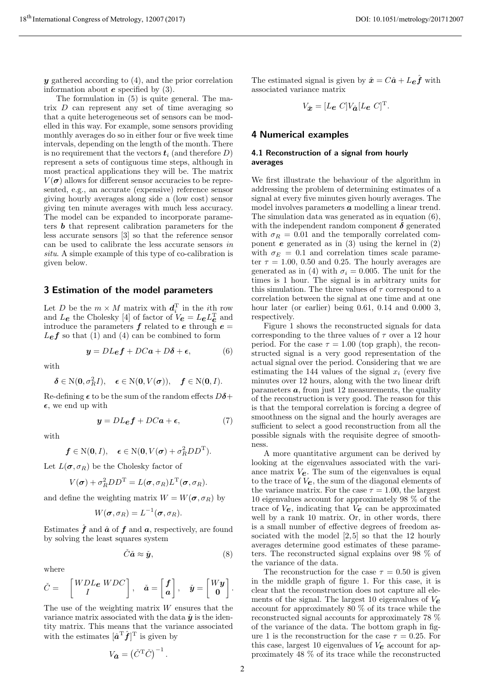*y* gathered according to (4), and the prior correlation information about *e* specified by (3).

The formulation in (5) is quite general. The matrix  $D$  can represent any set of time averaging so that a quite heterogeneous set of sensors can be modelled in this way. For example, some sensors providing monthly averages do so in either four or five week time intervals, depending on the length of the month. There is no requirement that the vectors  $t_i$  (and therefore  $D$ ) represent a sets of contiguous time steps, although in most practical applications they will be. The matrix  $V(\sigma)$  allows for different sensor accuracies to be represented, e.g., an accurate (expensive) reference sensor giving hourly averages along side a (low cost) sensor giving ten minute averages with much less accuracy. The model can be expanded to incorporate parameters *b* that represent calibration parameters for the less accurate sensors [3] so that the reference sensor can be used to calibrate the less accurate sensors in situ. A simple example of this type of co-calibration is given below.

#### **3 Estimation of the model parameters**

Let D be the  $m \times M$  matrix with  $\boldsymbol{d}_i^{\mathrm{T}}$  in the *i*<sup>th</sup> row and  $L_{\mathbf{e}}$  the Cholesky [4] of factor of  $V_{\mathbf{e}} = L_{\mathbf{e}} L_{\mathbf{e}}^{\mathrm{T}}$  and introduce the parameters  $f$  related to  $e$  through  $e =$  $L$ *e*  $f$  so that (1) and (4) can be combined to form

$$
y = DL_{\mathbf{e}}f + DC\mathbf{a} + D\delta + \epsilon, \tag{6}
$$

with

$$
\delta\in\mathrm{N}(\mathbf{0},\sigma_R^2I),\quad \boldsymbol{\epsilon}\in\mathrm{N}(\mathbf{0},V(\boldsymbol{\sigma})),\quad \boldsymbol{f}\in\mathrm{N}(\mathbf{0},I).
$$

Re-defining  $\epsilon$  to be the sum of the random effects  $D\delta$ +  $\epsilon$ , we end up with

$$
y = DL_{\mathcal{E}}f + DCa + \epsilon, \tag{7}
$$

with

$$
f \in N(0, I), \epsilon \in N(0, V(\sigma) + \sigma_R^2 DD^T).
$$

Let  $L(\boldsymbol{\sigma}, \sigma_R)$  be the Cholesky factor of

$$
V(\boldsymbol{\sigma}) + \sigma_R^2 D D^{\mathrm{T}} = L(\boldsymbol{\sigma}, \sigma_R) L^{\mathrm{T}}(\boldsymbol{\sigma}, \sigma_R).
$$

and define the weighting matrix  $W = W(\sigma, \sigma_R)$  by

$$
W(\boldsymbol{\sigma}, \sigma_R) = L^{-1}(\boldsymbol{\sigma}, \sigma_R).
$$

Estimates  $\hat{f}$  and  $\hat{a}$  of  $f$  and  $a$ , respectively, are found by solving the least squares system

$$
\check{C}\check{a}\approx \check{y},\qquad \qquad (8)
$$

where

$$
\check{C} = \begin{bmatrix} WDL_{\boldsymbol{e}} \ WDC \\ I \end{bmatrix}, \quad \check{\boldsymbol{a}} = \begin{bmatrix} f \\ \boldsymbol{a} \end{bmatrix}, \quad \check{\boldsymbol{y}} = \begin{bmatrix} W\boldsymbol{y} \\ \boldsymbol{0} \end{bmatrix}.
$$

The use of the weighting matrix  $W$  ensures that the variance matrix associated with the data  $\dot{y}$  is the identity matrix. This means that the variance associated with the estimates  $[\hat{a}^T \hat{f}]^T$  is given by

$$
V_{\check{\boldsymbol{\alpha}}} = \left(\check{C}^{\mathrm{T}}\check{C}\right)^{-1}.
$$

The estimated signal is given by  $\hat{x} = C\hat{a} + L_{\boldsymbol{\epsilon}}\hat{f}$  with associated variance matrix

$$
V_{\hat{\boldsymbol{x}}} = [L_{\boldsymbol{e}} \ C] V_{\check{\boldsymbol{a}}} [L_{\boldsymbol{e}} \ C]^{\mathrm{T}}.
$$

## **4 Numerical examples**

### **4.1 Reconstruction of a signal from hourly averages**

We first illustrate the behaviour of the algorithm in addressing the problem of determining estimates of a signal at every five minutes given hourly averages. The model involves parameters *a* modelling a linear trend. The simulation data was generated as in equation (6), with the independent random component  $\delta$  generated with  $\sigma_R = 0.01$  and the temporally correlated component *e* generated as in (3) using the kernel in (2) with  $\sigma_E = 0.1$  and correlation times scale parameter  $\tau = 1.00, 0.50$  and 0.25. The hourly averages are generated as in (4) with  $\sigma_i = 0.005$ . The unit for the times is 1 hour. The signal is in arbitrary units for this simulation. The three values of  $\tau$  correspond to a correlation between the signal at one time and at one hour later (or earlier) being 0.61, 0.14 and 0.000 3, respectively.

Figure 1 shows the reconstructed signals for data corresponding to the three values of  $\tau$  over a 12 hour period. For the case  $\tau = 1.00$  (top graph), the reconstructed signal is a very good representation of the actual signal over the period. Considering that we are estimating the 144 values of the signal  $x_i$  (every five minutes over 12 hours, along with the two linear drift parameters  $a$ , from just 12 measurements, the quality of the reconstruction is very good. The reason for this is that the temporal correlation is forcing a degree of smoothness on the signal and the hourly averages are sufficient to select a good reconstruction from all the possible signals with the requisite degree of smoothness.

A more quantitative argument can be derived by looking at the eigenvalues associated with the variance matrix V*e*. The sum of the eigenvalues is equal to the trace of V*e*, the sum of the diagonal elements of the variance matrix. For the case  $\tau = 1.00$ , the largest 10 eigenvalues account for approximately 98 % of the trace of V*e*, indicating that V*e* can be approximated well by a rank 10 matrix. Or, in other words, there is a small number of effective degrees of freedom associated with the model  $[2,5]$  so that the 12 hourly averages determine good estimates of these parameters. The reconstructed signal explains over 98 % of the variance of the data.

The reconstruction for the case  $\tau = 0.50$  is given in the middle graph of figure 1. For this case, it is clear that the reconstruction does not capture all elements of the signal. The largest 10 eigenvalues of V*e* account for approximately 80 % of its trace while the reconstructed signal accounts for approximately 78 % of the variance of the data. The bottom graph in figure 1 is the reconstruction for the case  $\tau = 0.25$ . For this case, largest 10 eigenvalues of V*e* account for approximately 48 % of its trace while the reconstructed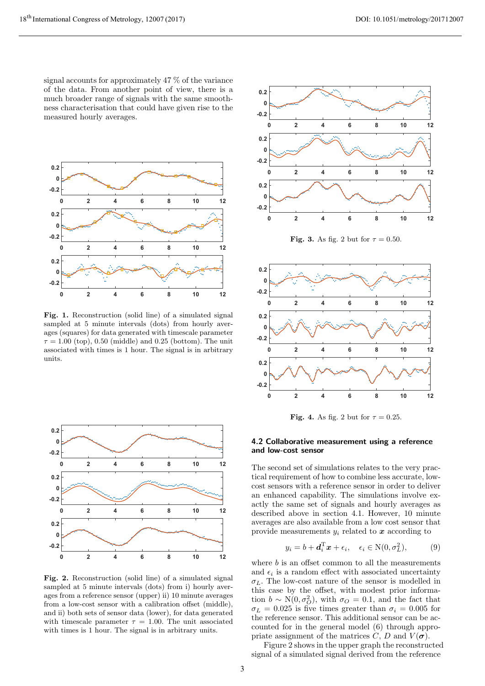signal accounts for approximately 47 % of the variance of the data. From another point of view, there is a much broader range of signals with the same smoothness characterisation that could have given rise to the measured hourly averages.



**Fig. 1.** Reconstruction (solid line) of a simulated signal sampled at 5 minute intervals (dots) from hourly averages (squares) for data generated with timescale parameter  $\tau = 1.00$  (top), 0.50 (middle) and 0.25 (bottom). The unit associated with times is 1 hour. The signal is in arbitrary units.



**Fig. 2.** Reconstruction (solid line) of a simulated signal sampled at 5 minute intervals (dots) from i) hourly averages from a reference sensor (upper) ii) 10 minute averages from a low-cost sensor with a calibration offset (middle), and ii) both sets of sensor data (lower), for data generated with timescale parameter  $\tau = 1.00$ . The unit associated with times is 1 hour. The signal is in arbitrary units.



**Fig. 3.** As fig. 2 but for  $\tau = 0.50$ .



**Fig. 4.** As fig. 2 but for  $\tau = 0.25$ .

#### **4.2 Collaborative measurement using a reference and low-cost sensor**

The second set of simulations relates to the very practical requirement of how to combine less accurate, lowcost sensors with a reference sensor in order to deliver an enhanced capability. The simulations involve exactly the same set of signals and hourly averages as described above in section 4.1. However, 10 minute averages are also available from a low cost sensor that provide measurements  $y_i$  related to  $\boldsymbol{x}$  according to

$$
y_i = b + \mathbf{d}_i^{\mathrm{T}} \mathbf{x} + \epsilon_i, \quad \epsilon_i \in \mathrm{N}(0, \sigma_L^2), \tag{9}
$$

where  $b$  is an offset common to all the measurements and  $\epsilon_i$  is a random effect with associated uncertainty  $\sigma_L$ . The low-cost nature of the sensor is modelled in this case by the offset, with modest prior information  $b \sim N(0, \sigma_O^2)$ , with  $\sigma_O = 0.1$ , and the fact that  $\sigma_L = 0.025$  is five times greater than  $\sigma_i = 0.005$  for the reference sensor. This additional sensor can be accounted for in the general model (6) through appropriate assignment of the matrices  $C, D$  and  $V(\sigma)$ .

Figure 2 shows in the upper graph the reconstructed signal of a simulated signal derived from the reference